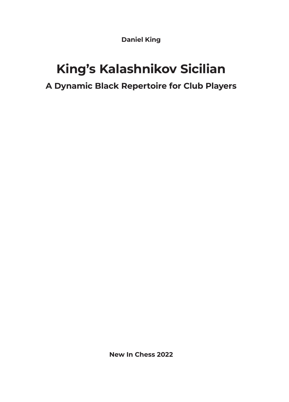**Daniel King**

# **King's Kalashnikov Sicilian A Dynamic Black Repertoire for Club Players**

**New In Chess 2022**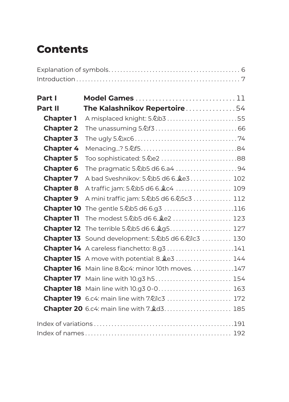# **Contents**

| Part I            | Model Games 11                                       |  |
|-------------------|------------------------------------------------------|--|
| Part II           | The Kalashnikov Repertoire54                         |  |
| <b>Chapter 1</b>  | A misplaced knight: 5.2b3 55                         |  |
| <b>Chapter 2</b>  |                                                      |  |
| <b>Chapter 3</b>  |                                                      |  |
| <b>Chapter 4</b>  |                                                      |  |
| <b>Chapter 5</b>  | Too sophisticated: 5. he2  88                        |  |
| <b>Chapter 6</b>  | The pragmatic 5.2b5 d6 6.a4 94                       |  |
| <b>Chapter 7</b>  | A bad Sveshnikov: 5.2b5 d6 6.2e3 102                 |  |
| <b>Chapter 8</b>  | A traffic jam: 5.2b5 d6 6. $c$ 4  109                |  |
| <b>Chapter 9</b>  | A mini traffic jam: 5.2b5 d6 6.25c3  112             |  |
| <b>Chapter 10</b> | The gentle 5.2b5 d6 6.g3 116                         |  |
| <b>Chapter 11</b> | The modest 5.2b5 d6 6. ge2  123                      |  |
|                   | Chapter 12 The terrible 5.2b5 d6 6. g5 127           |  |
|                   | Chapter 13 Sound development: 5.2b5 d6 6.21c3  130   |  |
|                   | Chapter 14 A careless fianchetto: 8.93 141           |  |
|                   | <b>Chapter 15</b> A move with potential: 8. Le3  144 |  |
|                   | Chapter 16 Main line 8. Dc4: minor 10th moves147     |  |
|                   | <b>Chapter 17</b> Main line with 10.93 h5 154        |  |
|                   | <b>Chapter 18</b> Main line with 10.93 0-0 163       |  |
|                   | <b>Chapter 19</b> 6.c4: main line with 7.2 c3  172   |  |
|                   | Chapter 20 6.c4: main line with 7. d3 185            |  |
|                   |                                                      |  |
|                   |                                                      |  |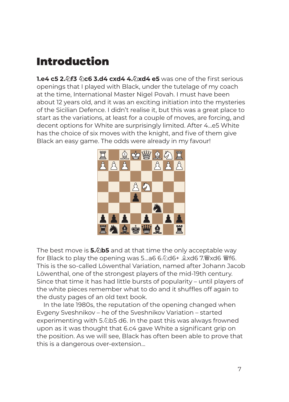# Introduction

**1.e4 c5 2.♘f3 ♘c6 3.d4 cxd4 4.♘xd4 e5** was one of the first serious openings that I played with Black, under the tutelage of my coach at the time, International Master Nigel Povah. I must have been about 12 years old, and it was an exciting initiation into the mysteries of the Sicilian Defence. I didn't realise it, but this was a great place to start as the variations, at least for a couple of moves, are forcing, and decent options for White are surprisingly limited. After 4...e5 White has the choice of six moves with the knight, and five of them give Black an easy game. The odds were already in my favour!



The best move is **5.♘b5** and at that time the only acceptable way for Black to play the opening was 5...a6 6.♘d6+ ♗xd6 7.♕xd6 ♕f6. This is the so-called Löwenthal Variation, named after Johann Jacob Löwenthal, one of the strongest players of the mid-19th century. Since that time it has had little bursts of popularity – until players of the white pieces remember what to do and it shuffles off again to the dusty pages of an old text book.

In the late 1980s, the reputation of the opening changed when Evgeny Sveshnikov – he of the Sveshnikov Variation – started experimenting with 5.∕2b5 d6. In the past this was always frowned upon as it was thought that 6.c4 gave White a significant grip on the position. As we will see, Black has often been able to prove that this is a dangerous over-extension...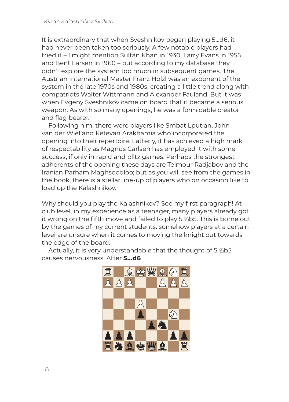It is extraordinary that when Sveshnikov began playing 5...d6, it had never been taken too seriously. A few notable players had tried it – I might mention Sultan Khan in 1930, Larry Evans in 1955 and Bent Larsen in 1960 – but according to my database they didn't explore the system too much in subsequent games. The Austrian International Master Franz Hölzl was an exponent of the system in the late 1970s and 1980s, creating a little trend along with compatriots Walter Wittmann and Alexander Fauland. But it was when Evgeny Sveshnikov came on board that it became a serious weapon. As with so many openings, he was a formidable creator and flag bearer.

Following him, there were players like Smbat Lputian, John van der Wiel and Ketevan Arakhamia who incorporated the opening into their repertoire. Latterly, it has achieved a high mark of respectability as Magnus Carlsen has employed it with some success, if only in rapid and blitz games. Perhaps the strongest adherents of the opening these days are Teimour Radjabov and the Iranian Parham Maghsoodloo; but as you will see from the games in the book, there is a stellar line-up of players who on occasion like to load up the Kalashnikov.

Why should you play the Kalashnikov? See my first paragraph! At club level, in my experience as a teenager, many players already got it wrong on the fifth move and failed to play 5.♘b5. This is borne out by the games of my current students: somehow players at a certain level are unsure when it comes to moving the knight out towards the edge of the board.

Actually, it is very understandable that the thought of 5. @ b5 causes nervousness. After **5...d6**

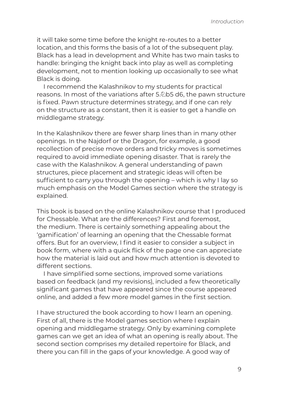it will take some time before the knight re-routes to a better location, and this forms the basis of a lot of the subsequent play. Black has a lead in development and White has two main tasks to handle: bringing the knight back into play as well as completing development, not to mention looking up occasionally to see what Black is doing.

I recommend the Kalashnikov to my students for practical reasons. In most of the variations after 5.♘b5 d6, the pawn structure is fixed. Pawn structure determines strategy, and if one can rely on the structure as a constant, then it is easier to get a handle on middlegame strategy.

In the Kalashnikov there are fewer sharp lines than in many other openings. In the Najdorf or the Dragon, for example, a good recollection of precise move orders and tricky moves is sometimes required to avoid immediate opening disaster. That is rarely the case with the Kalashnikov. A general understanding of pawn structures, piece placement and strategic ideas will often be sufficient to carry you through the opening – which is why I lay so much emphasis on the Model Games section where the strategy is explained.

This book is based on the online Kalashnikov course that I produced for Chessable. What are the differences? First and foremost, the medium. There is certainly something appealing about the 'gamification' of learning an opening that the Chessable format offers. But for an overview, I find it easier to consider a subject in book form, where with a quick flick of the page one can appreciate how the material is laid out and how much attention is devoted to different sections.

I have simplified some sections, improved some variations based on feedback (and my revisions), included a few theoretically significant games that have appeared since the course appeared online, and added a few more model games in the first section.

I have structured the book according to how I learn an opening. First of all, there is the Model games section where I explain opening and middlegame strategy. Only by examining complete games can we get an idea of what an opening is really about. The second section comprises my detailed repertoire for Black, and there you can fill in the gaps of your knowledge. A good way of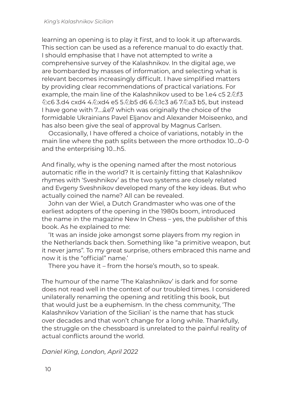learning an opening is to play it first, and to look it up afterwards. This section can be used as a reference manual to do exactly that. I should emphasise that I have not attempted to write a comprehensive survey of the Kalashnikov. In the digital age, we are bombarded by masses of information, and selecting what is relevant becomes increasingly difficult. I have simplified matters by providing clear recommendations of practical variations. For example, the main line of the Kalashnikov used to be 1.e4 c5 2.  $\Delta f$ 3 ♘c6 3.d4 cxd4 4.♘xd4 e5 5.♘b5 d6 6.♘1c3 a6 7.♘a3 b5, but instead I have gone with 7...  $\&e^7$  which was originally the choice of the formidable Ukrainians Pavel Eljanov and Alexander Moiseenko, and has also been give the seal of approval by Magnus Carlsen.

Occasionally, I have offered a choice of variations, notably in the main line where the path splits between the more orthodox 10...0-0 and the enterprising 10...h5.

And finally, why is the opening named after the most notorious automatic rifle in the world? It is certainly fitting that Kalashnikov rhymes with 'Sveshnikov' as the two systems are closely related and Evgeny Sveshnikov developed many of the key ideas. But who actually coined the name? All can be revealed.

John van der Wiel, a Dutch Grandmaster who was one of the earliest adopters of the opening in the 1980s boom, introduced the name in the magazine New In Chess – yes, the publisher of this book. As he explained to me:

'It was an inside joke amongst some players from my region in the Netherlands back then. Something like "a primitive weapon, but it never jams". To my great surprise, others embraced this name and now it is the "official" name.'

There you have it – from the horse's mouth, so to speak.

The humour of the name 'The Kalashnikov' is dark and for some does not read well in the context of our troubled times. I considered unilaterally renaming the opening and retitling this book, but that would just be a euphemism. In the chess community, 'The Kalashnikov Variation of the Sicilian' is the name that has stuck over decades and that won't change for a long while. Thankfully, the struggle on the chessboard is unrelated to the painful reality of actual conflicts around the world.

*Daniel King, London, April 2022*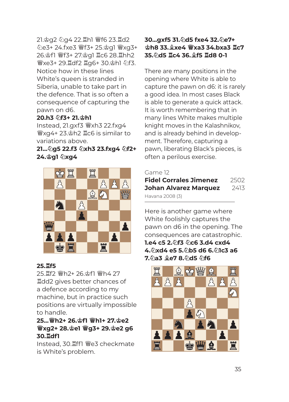21.♔g2 ♘g4 22.♖h1 ♕f6 23.♖d2 ♘e3+ 24.fxe3 ♕f3+ 25.♔g1 ♕xg3+ 26.♔f1 ♕f3+ 27.♔g1 ♖c6 28.♖hh2 ♕xe3+ 29.♖df2 ♖g6+ 30.♔h1 ♘f3. Notice how in these lines White's queen is stranded in Siberia, unable to take part in the defence. That is so often a consequence of capturing the pawn on d6.

#### **20.h3** ♘**f3+ 21.**♔**h1**

Instead, 21.gxf3 ♕xh3 22.fxg4 ♕xg4+ 23.♔h2 ♖c6 is similar to variations above.

#### **21...**♘**g5 22.f3** ♘**xh3 23.fxg4** ♘**f2+ 24.**♔**g1** ♘**xg4**



#### **25.**♖**f5**

25.♖f2 ♕h2+ 26.♔f1 ♕h4 27 ♖dd2 gives better chances of a defence according to my machine, but in practice such positions are virtually impossible to handle.

### **25...**♕**h2+ 26.**♔**f1** ♕**h1+ 27.**♔**e2**  ♕**xg2+ 28.**♔**e1** ♕**g3+ 29.**♔**e2 g6 30.**♖**df1**

Instead, 30.♖ff1 ♕e3 checkmate is White's problem.

#### **30...gxf5 31.**♘**d5 fxe4 32.**♘**e7+**  ♔**h8 33.**♗**xe4** ♕**xa3 34.bxa3** ♖**c7 35.**♘**d5** ♖**c4 36.**♗**f5** ♖**d8 0-1**

There are many positions in the opening where White is able to capture the pawn on d6: it is rarely a good idea. In most cases Black is able to generate a quick attack. It is worth remembering that in many lines White makes multiple knight moves in the Kalashnikov, and is already behind in development. Therefore, capturing a pawn, liberating Black's pieces, is often a perilous exercise.

### Game 12

| <b>Fidel Corrales Jimenez</b> | 2502 |  |
|-------------------------------|------|--|
| <b>Johan Alvarez Marquez</b>  | 2413 |  |
| Havana 2008 (3)               |      |  |

Here is another game where White foolishly captures the pawn on d6 in the opening. The consequences are catastrophic. **1.e4 c5 2.**♘**f3** ♘**c6 3.d4 cxd4 4.**♘**xd4 e5 5.**♘**b5 d6 6.**♘**1c3 a6 7.**♘**a3** ♗**e7 8.**♘**d5** ♘**f6**

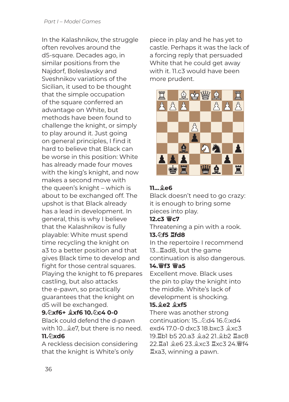In the Kalashnikov, the struggle often revolves around the d5-square. Decades ago, in similar positions from the Najdorf, Boleslavsky and Sveshnikov variations of the Sicilian, it used to be thought that the simple occupation of the square conferred an advantage on White, but methods have been found to challenge the knight, or simply to play around it. Just going on general principles, I find it hard to believe that Black can be worse in this position: White has already made four moves with the king's knight, and now makes a second move with the queen's knight – which is about to be exchanged off. The upshot is that Black already has a lead in development. In general, this is why I believe that the Kalashnikov is fully playable: White must spend time recycling the knight on a3 to a better position and that gives Black time to develop and fight for those central squares. Playing the knight to f6 prepares castling, but also attacks the e-pawn, so practically guarantees that the knight on d5 will be exchanged.

### **9.**♘**xf6+** ♗**xf6 10.**♘**c4 0-0**

Black could defend the d-pawn with 10...♗e7, but there is no need. **11.**♘**xd6**

A reckless decision considering that the knight is White's only

piece in play and he has yet to castle. Perhaps it was the lack of a forcing reply that persuaded White that he could get away with it. 11.c3 would have been more prudent.



### **11...**♗**e6**

Black doesn't need to go crazy: it is enough to bring some pieces into play.

#### **12.c3** ♕**c7**

Threatening a pin with a rook. **13.**♘**f5** ♖**fd8**

In the repertoire I recommend 13...♖ad8, but the game continuation is also dangerous.

### **14.**♕**f3** ♕**a5**

Excellent move. Black uses the pin to play the knight into the middle. White's lack of development is shocking.

### **15.**♗**e2** ♗**xf5**

There was another strong continuation: 15...♘d4 16.♘xd4 exd4 17.0-0 dxc3 18.bxc3 ♗xc3 19.♖b1 b5 20.a3 ♗a2 21.♗b2 ♖ac8 22.♖a1 ♗e6 23.♗xc3 ♖xc3 24.♕f4 ♖xa3, winning a pawn.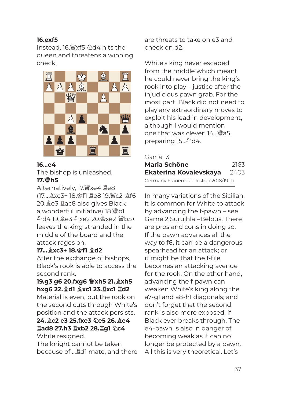#### **16.exf5**

Instead, 16.♕xf5 ♘d4 hits the queen and threatens a winning check.



#### **16...e4**

The bishop is unleashed. **17.**♕**h5**

Alternatively, 17.♕xe4 ♖e8 (17...♗xc3+ 18.♔f1 ♖e8 19.♕c2 ♗f6 20.♗e3 ♖ac8 also gives Black a wonderful initiative) 18.♕b1 ♘d4 19.♗e3 ♘xe2 20.♔xe2 ♕b5+ leaves the king stranded in the middle of the board and the attack rages on.

#### **17...**♗**xc3+ 18.**♔**f1** ♗**d2**

After the exchange of bishops, Black's rook is able to access the second rank.

**19.g3 g6 20.fxg6** ♕**xh5 21.**♗**xh5 hxg6 22.**♗**d1** ♗**xc1 23.**♖**xc1** ♖**d2**

Material is even, but the rook on the second cuts through White's position and the attack persists.

#### **24.**♗**c2 e3 25.fxe3** ♘**e5 26.**♗**e4**  ♖**ad8 27.h3** ♖**xb2 28.**♖**g1** ♘**c4** White resigned.

The knight cannot be taken because of ...  $\mathbb{Z}$ dl mate, and there are threats to take on e3 and check on d2.

White's king never escaped from the middle which meant he could never bring the king's rook into play – justice after the injudicious pawn grab. For the most part, Black did not need to play any extraordinary moves to exploit his lead in development, although I would mention one that was clever: 14...♕a5, preparing 15... 2d4.

#### Game 13

| <b>Maria Schöne</b>                  | 2163 |
|--------------------------------------|------|
| Ekaterina Kovalevskaya               | 2403 |
| Germany Frauenbundesliga 2018/19 (1) |      |

In many variations of the Sicilian, it is common for White to attack by advancing the f-pawn – see Game 2 Surujhlal–Belous. There are pros and cons in doing so. If the pawn advances all the way to f6, it can be a dangerous spearhead for an attack; or it might be that the f-file becomes an attacking avenue for the rook. On the other hand, advancing the f-pawn can weaken White's king along the a7-g1 and a8-h1 diagonals; and don't forget that the second rank is also more exposed, if Black ever breaks through. The e4-pawn is also in danger of becoming weak as it can no longer be protected by a pawn. All this is very theoretical. Let's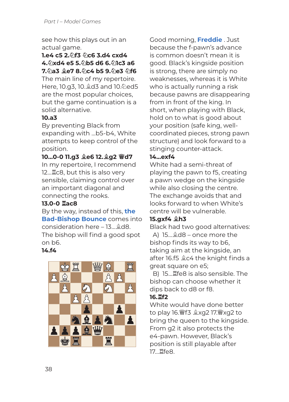see how this plays out in an actual game.

**1.e4 c5 2.**♘**f3** ♘**c6 3.d4 cxd4 4.**♘**xd4 e5 5.**♘**b5 d6 6.**♘**1c3 a6 7.**♘**a3** ♗**e7 8.**♘**c4 b5 9.**♘**e3** ♘**f6** The main line of my repertoire. Here, 10.g3, 10.♗d3 and 10.♘ed5 are the most popular choices, but the game continuation is a solid alternative.

### **10.a3**

By preventing Black from expanding with ...b5-b4, White attempts to keep control of the position.

#### **10...0-0 11.g3** ♗**e6 12.**♗**g2** ♕**d7**

In my repertoire, I recommend 12...♖c8, but this is also very sensible, claiming control over an important diagonal and connecting the rooks.

#### **13.0-0** ♖**ac8**

By the way, instead of this, **the Bad-Bishop Bounce** comes into consideration here – 13...♗d8. The bishop will find a good spot on b6.

#### **14.f4**



Good morning, **Freddie** . Just because the f-pawn's advance is common doesn't mean it is good. Black's kingside position is strong, there are simply no weaknesses, whereas it is White who is actually running a risk because pawns are disappearing from in front of the king. In short, when playing with Black, hold on to what is good about your position (safe king, wellcoordinated pieces, strong pawn structure) and look forward to a stinging counter-attack.

#### **14...exf4**

White had a semi-threat of playing the pawn to f5, creating a pawn wedge on the kingside while also closing the centre. The exchange avoids that and looks forward to when White's centre will be vulnerable.

#### **15.gxf4** ♗**h3**

Black had two good alternatives: A) 15...♗d8 – once more the bishop finds its way to b6, taking aim at the kingside, an after 16.f5 ♗c4 the knight finds a great square on e5;

B) 15...♖fe8 is also sensible. The bishop can choose whether it dips back to d8 or f8.

#### **16.**♖**f2**

White would have done better to play 16.♕f3 ♗xg2 17.♕xg2 to bring the queen to the kingside. From g2 it also protects the e4-pawn. However, Black's position is still playable after 17...♖fe8.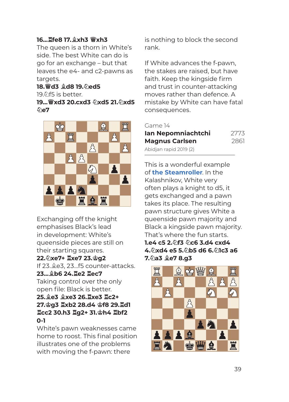#### **16...**♖**fe8 17.**♗**xh3** ♕**xh3**

The queen is a thorn in White's side. The best White can do is go for an exchange – but that leaves the e4- and c2-pawns as targets.

### **18.**♕**d3** ♗**d8 19.**♘**ed5**

19. $\Diamond$ f5 is better.

#### **19...**♕**xd3 20.cxd3** ♘**xd5 21.**♘**xd5**  ♘**e7**



Exchanging off the knight emphasises Black's lead in development: White's queenside pieces are still on their starting squares.

#### **22.**♘**xe7+** ♖**xe7 23.**♔**g2**

If 23.♗e3, 23...f5 counter-attacks. **23...**♗**b6 24.**♖**e2** ♖**ec7**

Taking control over the only open file: Black is better. **25.**♗**e3** ♗**xe3 26.**♖**xe3** ♖**c2+ 27.**♔**g3** ♖**xb2 28.d4** ♔**f8 29.**♖**d1**  ♖**cc2 30.h3** ♖**g2+ 31.**♔**h4** ♖**bf2 0-1**

White's pawn weaknesses came home to roost. This final position illustrates one of the problems with moving the f-pawn: there

is nothing to block the second rank.

If White advances the f-pawn, the stakes are raised, but have faith. Keep the kingside firm and trust in counter-attacking moves rather than defence. A mistake by White can have fatal consequences.

#### Game 14

| Ian Nepomniachtchi     | 2773 |  |
|------------------------|------|--|
| <b>Magnus Carlsen</b>  | 2861 |  |
| Abidjan rapid 2019 (2) |      |  |

This is a wonderful example of **the Steamroller**. In the Kalashnikov, White very often plays a knight to d5, it gets exchanged and a pawn takes its place. The resulting pawn structure gives White a queenside pawn majority and Black a kingside pawn majority. That's where the fun starts. **1.e4 c5 2.**♘**f3** ♘**c6 3.d4 cxd4** 

#### **4.**♘**xd4 e5 5.**♘**b5 d6 6.**♘**1c3 a6 7.**♘**a3** ♗**e7 8.g3**

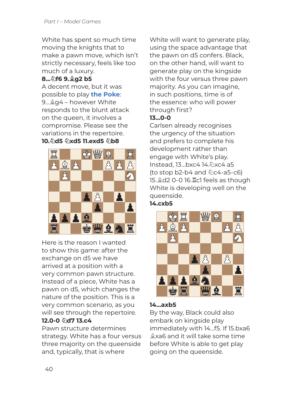White has spent so much time moving the knights that to make a pawn move, which isn't strictly necessary, feels like too much of a luxury.

### **8...**♘**f6 9.**♗**g2 b5**

A decent move, but it was possible to play **the Poke**: 9...♗g4 – however White responds to the blunt attack on the queen, it involves a compromise. Please see the variations in the repertoire. **10.**♘**d5** ♘**xd5 11.exd5** ♘**b8**



Here is the reason I wanted to show this game: after the exchange on d5 we have arrived at a position with a very common pawn structure. Instead of a piece, White has a pawn on d5, which changes the nature of the position. This is a very common scenario, as you will see through the repertoire. **12.0-0** ♘**d7 13.c4**

Pawn structure determines strategy. White has a four versus three majority on the queenside and, typically, that is where

White will want to generate play, using the space advantage that the pawn on d5 confers. Black, on the other hand, will want to generate play on the kingside with the four versus three pawn majority. As you can imagine, in such positions, time is of the essence: who will power through first?

### **13...0-0**

Carlsen already recognises the urgency of the situation and prefers to complete his development rather than engage with White's play. Instead, 13...bxc4 14.♘xc4 a5 (to stop  $b2-b4$  and  $@c4-a5-c6$ ) 15.♗d2 0-0 16.♖c1 feels as though White is developing well on the queenside.





#### **14...axb5**

By the way, Black could also embark on kingside play immediately with 14...f5. If 15.bxa6 ♗xa6 and it will take some time before White is able to get play going on the queenside.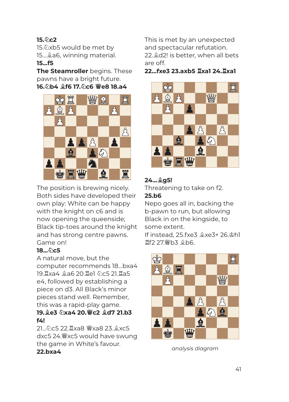#### **15.**♘**c2**

15.  $\&$ xb5 would be met by 15...♗a6, winning material.

#### **15...f5**

**The Steamroller** begins. These pawns have a bright future. **16.**♘**b4** ♗**f6 17.**♘**c6** ♕**e8 18.a4**



The position is brewing nicely. Both sides have developed their own play: White can be happy with the knight on c6 and is now opening the queenside; Black tip-toes around the knight and has strong centre pawns. Game on!

#### **18...のc5**

A natural move, but the computer recommends 18...bxa4 19.♖xa4 ♗a6 20.♖e1 ♘c5 21.♖a5 e4, followed by establishing a piece on d3. All Black's minor pieces stand well. Remember, this was a rapid-play game.

### **19.**♗**e3** ♘**xa4 20.**♕**c2** ♗**d7 21.b3 f4!**

21...♘c5 22.♖xa8 ♕xa8 23.♗xc5 dxc5 24.♕xc5 would have swung the game in White's favour. **22.bxa4** 

This is met by an unexpected and spectacular refutation. 22.♗d2! is better, when all bets are off.

**22...fxe3 23.axb5** ♖**xa1 24.**♖**xa1**



### **24...**♗**g5!**

Threatening to take on f2. **25.b6**

Nepo goes all in, backing the b-pawn to run, but allowing Black in on the kingside, to some extent.

If instead, 25.fxe3 ♗xe3+ 26.♔h1 ♖f2 27.♕b3 ♗b6.



*analysis diagram*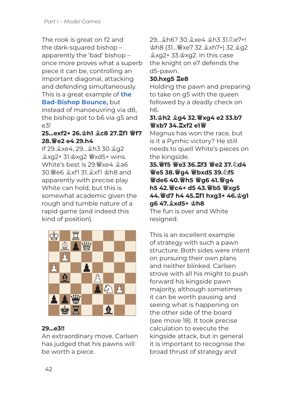The rook is great on f2 and the dark-squared bishop – apparently the 'bad' bishop – once more proves what a superb piece it can be, controlling an important diagonal, attacking and defending simultaneously. This is a great example of **the** 

#### **Bad-Bishop Bounce,** but

instead of manoeuvring via d8, the bishop got to b6 via g5 and e3!

#### **25...exf2+ 26.**♔**h1** ♗**c8 27.**♖**f1** ♕**f7 28.**♕**e2 e4 29.h4**

If 29.♗xe4, 29...♗h3 30.♗g2 ♗xg2+ 31.♔xg2 ♕xd5+ wins. White's best is 29.♕xe4 ♗a6 30.♕e6 ♗xf1 31.♗xf1 ♔h8 and apparently with precise play White can hold, but this is somewhat academic given the rough and tumble nature of a rapid game (and indeed this kind of position).



#### **29...e3!!**

An extraordinary move. Carlsen has judged that his pawns will be worth a piece.

29...♗h6? 30.♗xe4 ♗h3 31.♘e7+! ♔h8 (31...♕xe7 32.♗xh7+) 32.♗g2 ♗xg2+ 33.♔xg2. In this case the knight on e7 defends the d5-pawn.

#### **30.hxg5** ♖**e8**

Holding the pawn and preparing to take on g5 with the queen followed by a deadly check on h6.

#### **31.**♔**h2** ♗**g4 32.**♕**xg4 e2 33.b7**  ♕**xb7 34.**♖**xf2 e1**♕

Magnus has won the race, but is it a Pyrrhic victory? He still needs to quell White's pieces on the kingside.

**35.**♕**f5** ♕**e3 36.**♖**f3** ♕**e2 37.**♘**d4**  ♕**e5 38.**♕**g4** ♕**bxd5 39.**♘**f5**  ♕**de6 40.**♕**h5** ♕**g6 41.**♕**g4 h5 42.**♕**c4+ d5 43.**♕**b5** ♕**xg5 44.**♕**d7 h4 45.**♖**f1 hxg3+ 46.**♔**g1 g6 47.**♗**xd5+** ♔**h8**

The fun is over and White resigned.

This is an excellent example of strategy with such a pawn structure. Both sides were intent on pursuing their own plans and neither blinked. Carlsen strove with all his might to push forward his kingside pawn majority, although sometimes it can be worth pausing and seeing what is happening on the other side of the board (see move 18). It took precise calculation to execute the kingside attack, but in general it is important to recognise the broad thrust of strategy and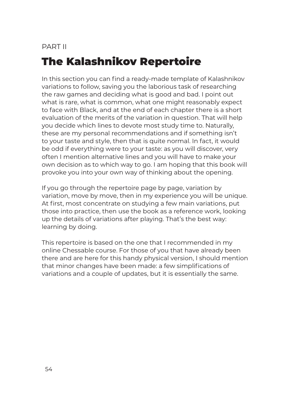# PART II The Kalashnikov Repertoire

In this section you can find a ready-made template of Kalashnikov variations to follow, saving you the laborious task of researching the raw games and deciding what is good and bad. I point out what is rare, what is common, what one might reasonably expect to face with Black, and at the end of each chapter there is a short evaluation of the merits of the variation in question. That will help you decide which lines to devote most study time to. Naturally, these are my personal recommendations and if something isn't to your taste and style, then that is quite normal. In fact, it would be odd if everything were to your taste: as you will discover, very often I mention alternative lines and you will have to make your own decision as to which way to go. I am hoping that this book will provoke you into your own way of thinking about the opening.

If you go through the repertoire page by page, variation by variation, move by move, then in my experience you will be unique. At first, most concentrate on studying a few main variations, put those into practice, then use the book as a reference work, looking up the details of variations after playing. That's the best way: learning by doing.

This repertoire is based on the one that I recommended in my online Chessable course. For those of you that have already been there and are here for this handy physical version, I should mention that minor changes have been made: a few simplifications of variations and a couple of updates, but it is essentially the same.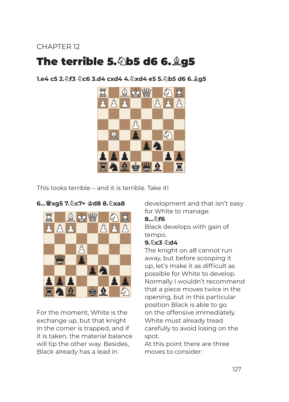### CHAPTER 12

# The terrible 5.♘b5 d6 6.♗g5

**1.e4 c5 2.**♘**f3** ♘**c6 3.d4 cxd4 4.**♘**xd4 e5 5.**♘**b5 d6 6.**♗**g5**



This looks terrible – and it is terrible. Take it!



#### **6...**♕**xg5 7.**♘**c7+** ♔**d8 8.**♘**xa8**

For the moment, White is the exchange up, but that knight in the corner is trapped, and if it is taken, the material balance will tip the other way. Besides, Black already has a lead in

development and that isn't easy for White to manage.

#### **8...**♘**f6**

Black develops with gain of tempo.

#### **9.**♘**c3** ♘**d4**

The knight on a8 cannot run away, but before scooping it up, let's make it as difficult as possible for White to develop. Normally I wouldn't recommend that a piece moves twice in the opening, but in this particular position Black is able to go on the offensive immediately. White must already tread carefully to avoid losing on the spot.

At this point there are three moves to consider: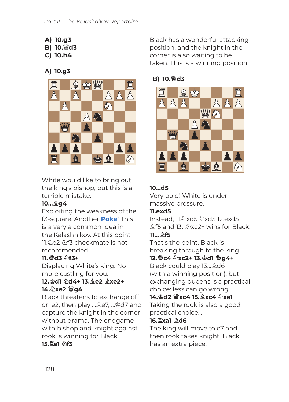- **A) 10.g3**
- **B) 10.**♕**d3**
- **C) 10.h4**

### **A) 10.g3**



White would like to bring out the king's bishop, but this is a terrible mistake.

### **10...**♗**g4**

Exploiting the weakness of the f3-square. Another **Poke**! This is a very a common idea in the Kalashnikov. At this point 11.のe2 のf3 checkmate is not recommended.

### **11.**♕**d3** ♘**f3+**

Displacing White's king. No more castling for you.

#### **12.**♔**d1** ♘**d4+ 13.**♗**e2** ♗**xe2+ 14.**♘**xe2** ♕**g4**

Black threatens to exchange off on e2, then play ...♗e7, ...♔d7 and capture the knight in the corner without drama. The endgame with bishop and knight against rook is winning for Black.

**15.**  $\overline{2}$ e1 のf3

Black has a wonderful attacking position, and the knight in the corner is also waiting to be taken. This is a winning position.

### **B) 10.**♕**d3**



### **10...d5**

Very bold! White is under massive pressure.

### **11.exd5**

Instead, 11.♘xd5 ♘xd5 12.exd5 ♗f5 and 13...♘xc2+ wins for Black.

### **11...**♗**f5**

That's the point. Black is breaking through to the king.

### **12.**♕**c4** ♘**xc2+ 13.**♔**d1** ♕**g4+**

Black could play 13...♗d6 (with a winning position), but exchanging queens is a practical choice: less can go wrong.

**14.**♔**d2** ♕**xc4 15.**♗**xc4** ♘**xa1** Taking the rook is also a good practical choice...

### **16.**♖**xa1** ♗**d6**

The king will move to e7 and then rook takes knight. Black has an extra piece.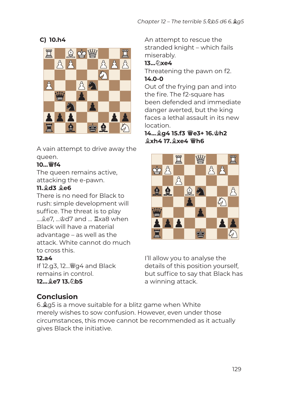**C) 10.h4**



A vain attempt to drive away the queen.

### **10...**♕**f4**

The queen remains active, attacking the e-pawn.

### **11.**♗**d3** ♗**e6**

There is no need for Black to rush: simple development will suffice. The threat is to play ...♗e7, ...♔d7 and ... ♖xa8 when Black will have a material advantage – as well as the attack. White cannot do much to cross this.

### **12.a4**

If 12.g3, 12...♕g4 and Black remains in control. **12...**♗**e7 13.**♘**b5**

## **Conclusion**

6.♗g5 is a move suitable for a blitz game when White merely wishes to sow confusion. However, even under those circumstances, this move cannot be recommended as it actually gives Black the initiative.

An attempt to rescue the stranded knight – which fails miserably.

### **13...**♘**xe4**

Threatening the pawn on f2. **14.0-0**

Out of the frying pan and into the fire. The f2-square has been defended and immediate danger averted, but the king faces a lethal assault in its new location.

### **14...**♗**g4 15.f3** ♕**e3+ 16.**♔**h2**  ♗**xh4 17.**♗**xe4** ♕**h6**



I'll allow you to analyse the details of this position yourself, but suffice to say that Black has a winning attack.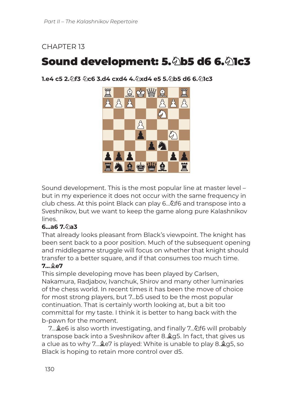### CHAPTER 13

# Sound development: 5. 4b5 d6 6. 41c3

**1.e4 c5 2.**♘**f3** ♘**c6 3.d4 cxd4 4.**♘**xd4 e5 5.**♘**b5 d6 6.**♘**1c3**



Sound development. This is the most popular line at master level – but in my experience it does not occur with the same frequency in club chess. At this point Black can play 6...♘f6 and transpose into a Sveshnikov, but we want to keep the game along pure Kalashnikov lines.

#### **6...a6 7.**♘**a3**

That already looks pleasant from Black's viewpoint. The knight has been sent back to a poor position. Much of the subsequent opening and middlegame struggle will focus on whether that knight should transfer to a better square, and if that consumes too much time.

#### **7...**♗**e7**

This simple developing move has been played by Carlsen, Nakamura, Radjabov, Ivanchuk, Shirov and many other luminaries of the chess world. In recent times it has been the move of choice for most strong players, but 7...b5 used to be the most popular continuation. That is certainly worth looking at, but a bit too committal for my taste. I think it is better to hang back with the b-pawn for the moment.

7...♗e6 is also worth investigating, and finally 7...♘f6 will probably transpose back into a Sveshnikov after 8.♗g5. In fact, that gives us a clue as to why 7...♗e7 is played: White is unable to play 8.♗g5, so Black is hoping to retain more control over d5.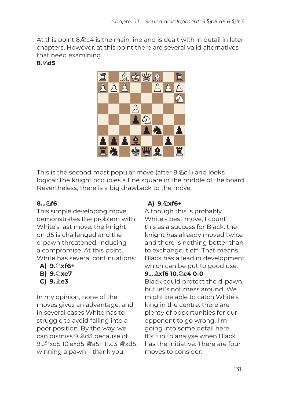At this point 8.♘c4 is the main line and is dealt with in detail in later chapters. However, at this point there are several valid alternatives that need examining.

#### **8.**♘**d5**



This is the second most popular move (after 8.♘c4) and looks logical: the knight occupies a fine square in the middle of the board. Nevertheless, there is a big drawback to the move.

### **8...**♘**f6**

This simple developing move demonstrates the problem with White's last move: the knight on d5 is challenged and the e-pawn threatened, inducing a compromise. At this point, White has several continuations:

- **A) 9.**♘**xf6+ B) 9.**♘**xe7**
- **C) 9.**♗**e3**

In my opinion, none of the moves gives an advantage, and in several cases White has to struggle to avoid falling into a poor position. By the way, we can dismiss 9.♗d3 because of 9...のxd5 10.exd5 響a5+ 11.c3 響xd5. winning a pawn – thank you.

### **A) 9.**♘**xf6+**

Although this is probably White's best move, I count this as a success for Black: the knight has already moved twice and there is nothing better than to exchange it off! That means Black has a lead in development which can be put to good use.

#### **9...**♗**xf6 10.**♘**c4 0-0**

Black could protect the d-pawn, but let's not mess around! We might be able to catch White's king in the centre: there are plenty of opportunities for our opponent to go wrong. I'm going into some detail here. It's fun to analyse when Black has the initiative. There are four moves to consider: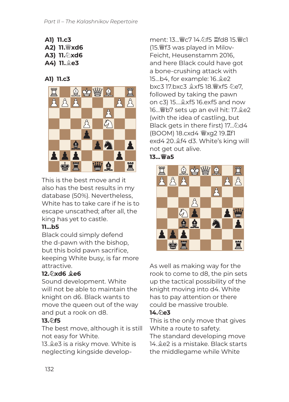- **A1) 11.c3 A2) 11.**♕**xd6**
- **A3) 11.**♘**xd6**
- **A4) 11.**♗**e3**

### **A1) 11.c3**



This is the best move and it also has the best results in my database (50%). Nevertheless, White has to take care if he is to escape unscathed; after all, the king has yet to castle.

### **11...b5**

Black could simply defend the d-pawn with the bishop, but this bold pawn sacrifice, keeping White busy, is far more attractive.

### **12.**♘**xd6** ♗**e6**

Sound development. White will not be able to maintain the knight on d6. Black wants to move the queen out of the way and put a rook on d8.

### **13.**♘**f5**

The best move, although it is still not easy for White.

13.♗e3 is a risky move. White is neglecting kingside development: 13...♕c7 14.♘f5 ♖fd8 15.♕c1 (15.♕f3 was played in Milov-Feicht, Heusenstamm 2016, and here Black could have got a bone-crushing attack with 15...b4, for example: 16.♗e2 bxc3 17.bxc3 ♗xf5 18.♕xf5 ♘e7, followed by taking the pawn on c3) 15...♗xf5 16.exf5 and now 16...♕b7 sets up an evil hit: 17.♗e2 (with the idea of castling, but Black gets in there first) 17... ⁄ 2d4 (BOOM) 18.cxd4 ♕xg2 19.♖f1 exd4 20.♗f4 d3. White's king will not get out alive. **13...**♕**a5**



As well as making way for the rook to come to d8, the pin sets up the tactical possibility of the knight moving into d4. White has to pay attention or there could be massive trouble.

### **14.**♘**e3**

This is the only move that gives White a route to safety. The standard developing move 14.♗e2 is a mistake. Black starts the middlegame while White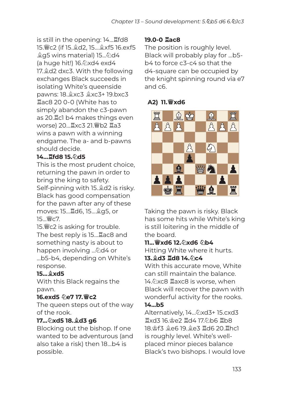is still in the opening: 14...♖fd8 15.♕c2 (if 15.♗d2, 15...♗xf5 16.exf5 ♗g5 wins material) 15...♘d4 (a huge hit!) 16.♘xd4 exd4 17.♗d2 dxc3. With the following exchanges Black succeeds in isolating White's queenside pawns: 18.♗xc3 ♗xc3+ 19.bxc3 ♖ac8 20 0-0 (White has to simply abandon the c3-pawn as 20.♖c1 b4 makes things even worse) 20...♖xc3 21.♕b2 ♖a3 wins a pawn with a winning endgame. The a- and b-pawns should decide.

### **14...**♖**fd8 15.**♘**d5**

This is the most prudent choice, returning the pawn in order to bring the king to safety. Self-pinning with 15.♗d2 is risky. Black has good compensation for the pawn after any of these moves: 15...♖d6, 15...♗g5, or 15...♕c7.

15.♕c2 is asking for trouble. The best reply is 15...♖ac8 and something nasty is about to happen involving ...见d4 or ...b5-b4, depending on White's response.

### **15...**♗**xd5**

With this Black regains the pawn.

### **16.exd5** ♘**e7 17.**♕**c2**

The queen steps out of the way of the rook.

### **17...**♘**xd5 18.**♗**d3 g6**

Blocking out the bishop. If one wanted to be adventurous (and also take a risk) then 18...b4 is possible.

#### **19.0-0** ♖**ac8**

The position is roughly level. Black will probably play for ...b5 b4 to force c3-c4 so that the d4-square can be occupied by the knight spinning round via e7 and c6.

### **A2) 11.**♕**xd6**



Taking the pawn is risky. Black has some hits while White's king is still loitering in the middle of the board.

**11...**♕**xd6 12.**♘**xd6** ♘**b4** Hitting White where it hurts.

#### **13.**♗**d3** ♖**d8 14.**♘**c4**

With this accurate move, White can still maintain the balance. 14.♘xc8 ♖axc8 is worse, when Black will recover the pawn with wonderful activity for the rooks.

#### **14...b5**

Alternatively, 14...♘xd3+ 15.cxd3 ♖xd3 16.♔e2 ♖d4 17.♘b6 ♖b8 18.♔f3 ♗e6 19.♗e3 ♖d6 20.♖hc1 is roughly level. White's wellplaced minor pieces balance Black's two bishops. I would love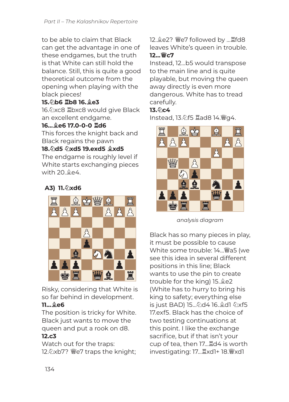to be able to claim that Black can get the advantage in one of these endgames, but the truth is that White can still hold the balance. Still, this is quite a good theoretical outcome from the opening when playing with the black pieces!

### **15.**♘**b6** ♖**b8 16.**♗**e3**

16.♘xc8 ♖bxc8 would give Black an excellent endgame.

### **16...**♗**e6 17.0-0-0** ♖**d6**

This forces the knight back and Black regains the pawn

#### **18.**♘**d5** ♘**xd5 19.exd5** ♗**xd5**

The endgame is roughly level if White starts exchanging pieces with 20.♗e4.

### **A3) 11.**♘**xd6**



Risky, considering that White is so far behind in development.

### **11...**♗**e6**

The position is tricky for White. Black just wants to move the queen and put a rook on d8.

#### **12.c3**

Watch out for the traps: 12.♘xb7? ♕e7 traps the knight; 12.♗e2? ♕e7 followed by ...♖fd8 leaves White's queen in trouble. **12...**♕**c7**

Instead, 12...b5 would transpose to the main line and is quite playable, but moving the queen away directly is even more dangerous. White has to tread carefully.

### **13.**♘**c4**

Instead, 13.♘f5 ♖ad8 14.♕g4.



*analysis diagram*

Black has so many pieces in play, it must be possible to cause White some trouble: 14...♕a5 (we see this idea in several different positions in this line; Black wants to use the pin to create trouble for the king) 15.♗e2 (White has to hurry to bring his king to safety; everything else is just BAD) 15...♘d4 16.♗d1 ♘xf5 17.exf5. Black has the choice of two testing continuations at this point. I like the exchange sacrifice, but if that isn't your cup of tea, then 17...♖d4 is worth investigating: 17...♖xd1+ 18.♕xd1